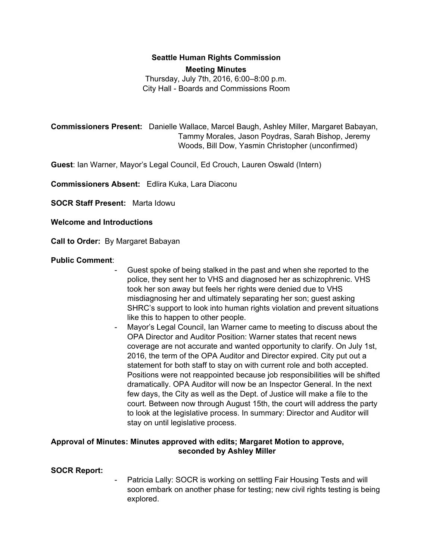# **Seattle Human Rights Commission Meeting Minutes**

Thursday, July 7th, 2016, 6:00–8:00 p.m. City Hall - Boards and Commissions Room

**Commissioners Present:** Danielle Wallace, Marcel Baugh, Ashley Miller, Margaret Babayan, Tammy Morales, Jason Poydras, Sarah Bishop, Jeremy Woods, Bill Dow, Yasmin Christopher (unconfirmed)

**Guest**: Ian Warner, Mayor's Legal Council, Ed Crouch, Lauren Oswald (Intern)

**Commissioners Absent:** Edlira Kuka, Lara Diaconu

**SOCR Staff Present:** Marta Idowu

### **Welcome and Introductions**

**Call to Order:** By Margaret Babayan

### **Public Comment**:

- Guest spoke of being stalked in the past and when she reported to the police, they sent her to VHS and diagnosed her as schizophrenic. VHS took her son away but feels her rights were denied due to VHS misdiagnosing her and ultimately separating her son; guest asking SHRC's support to look into human rights violation and prevent situations like this to happen to other people.
- Mayor's Legal Council, Ian Warner came to meeting to discuss about the OPA Director and Auditor Position: Warner states that recent news coverage are not accurate and wanted opportunity to clarify. On July 1st, 2016, the term of the OPA Auditor and Director expired. City put out a statement for both staff to stay on with current role and both accepted. Positions were not reappointed because job responsibilities will be shifted dramatically. OPA Auditor will now be an Inspector General. In the next few days, the City as well as the Dept. of Justice will make a file to the court. Between now through August 15th, the court will address the party to look at the legislative process. In summary: Director and Auditor will stay on until legislative process.

### **Approval of Minutes: Minutes approved with edits; Margaret Motion to approve, seconded by Ashley Miller**

### **SOCR Report:**

Patricia Lally: SOCR is working on settling Fair Housing Tests and will soon embark on another phase for testing; new civil rights testing is being explored.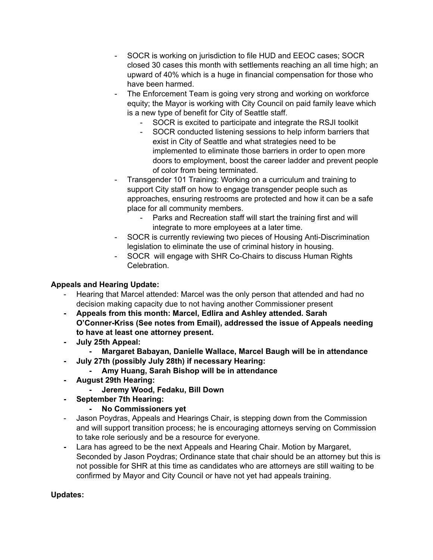- SOCR is working on jurisdiction to file HUD and EEOC cases; SOCR closed 30 cases this month with settlements reaching an all time high; an upward of 40% which is a huge in financial compensation for those who have been harmed.
- The Enforcement Team is going very strong and working on workforce equity; the Mayor is working with City Council on paid family leave which is a new type of benefit for City of Seattle staff.
	- SOCR is excited to participate and integrate the RSJI toolkit
	- SOCR conducted listening sessions to help inform barriers that exist in City of Seattle and what strategies need to be implemented to eliminate those barriers in order to open more doors to employment, boost the career ladder and prevent people of color from being terminated.
- Transgender 101 Training: Working on a curriculum and training to support City staff on how to engage transgender people such as approaches, ensuring restrooms are protected and how it can be a safe place for all community members.
	- Parks and Recreation staff will start the training first and will integrate to more employees at a later time.
- SOCR is currently reviewing two pieces of Housing Anti-Discrimination legislation to eliminate the use of criminal history in housing.
- SOCR will engage with SHR Co-Chairs to discuss Human Rights Celebration.

## **Appeals and Hearing Update:**

- Hearing that Marcel attended: Marcel was the only person that attended and had no decision making capacity due to not having another Commissioner present
- **- Appeals from this month: Marcel, Edlira and Ashley attended. Sarah O'Conner-Kriss (See notes from Email), addressed the issue of Appeals needing to have at least one attorney present.**
- **- July 25th Appeal:**
	- **- Margaret Babayan, Danielle Wallace, Marcel Baugh will be in attendance**
- **- July 27th (possibly July 28th) if necessary Hearing:**
	- **- Amy Huang, Sarah Bishop will be in attendance**
- **- August 29th Hearing:**
	- **- Jeremy Wood, Fedaku, Bill Down**
- **- September 7th Hearing:**
	- **- No Commissioners yet**
- Jason Poydras, Appeals and Hearings Chair, is stepping down from the Commission and will support transition process; he is encouraging attorneys serving on Commission to take role seriously and be a resource for everyone.
- **-** Lara has agreed to be the next Appeals and Hearing Chair. Motion by Margaret, Seconded by Jason Poydras; Ordinance state that chair should be an attorney but this is not possible for SHR at this time as candidates who are attorneys are still waiting to be confirmed by Mayor and City Council or have not yet had appeals training.

## **Updates:**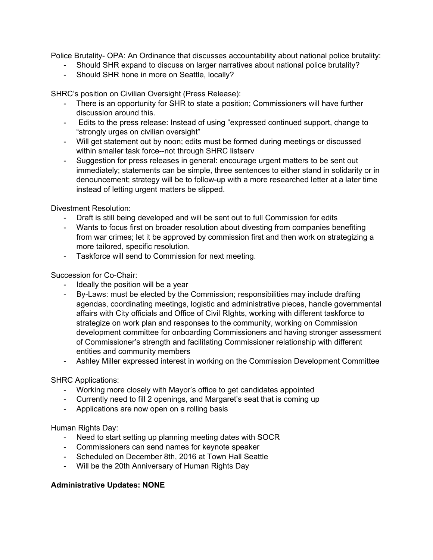Police Brutality- OPA: An Ordinance that discusses accountability about national police brutality:

- Should SHR expand to discuss on larger narratives about national police brutality?
- Should SHR hone in more on Seattle, locally?

SHRC's position on Civilian Oversight (Press Release):

- There is an opportunity for SHR to state a position; Commissioners will have further discussion around this.
- Edits to the press release: Instead of using "expressed continued support, change to "strongly urges on civilian oversight"
- Will get statement out by noon; edits must be formed during meetings or discussed within smaller task force--not through SHRC listserv
- Suggestion for press releases in general: encourage urgent matters to be sent out immediately; statements can be simple, three sentences to either stand in solidarity or in denouncement; strategy will be to follow-up with a more researched letter at a later time instead of letting urgent matters be slipped.

Divestment Resolution:

- Draft is still being developed and will be sent out to full Commission for edits
- Wants to focus first on broader resolution about divesting from companies benefiting from war crimes; let it be approved by commission first and then work on strategizing a more tailored, specific resolution.
- Taskforce will send to Commission for next meeting.

Succession for Co-Chair:

- Ideally the position will be a year
- By-Laws: must be elected by the Commission; responsibilities may include drafting agendas, coordinating meetings, logistic and administrative pieces, handle governmental affairs with City officials and Office of Civil RIghts, working with different taskforce to strategize on work plan and responses to the community, working on Commission development committee for onboarding Commissioners and having stronger assessment of Commissioner's strength and facilitating Commissioner relationship with different entities and community members
- Ashley Miller expressed interest in working on the Commission Development Committee

### SHRC Applications:

- Working more closely with Mayor's office to get candidates appointed
- Currently need to fill 2 openings, and Margaret's seat that is coming up
- Applications are now open on a rolling basis

### Human Rights Day:

- Need to start setting up planning meeting dates with SOCR
- Commissioners can send names for keynote speaker
- Scheduled on December 8th, 2016 at Town Hall Seattle
- Will be the 20th Anniversary of Human Rights Day

### **Administrative Updates: NONE**